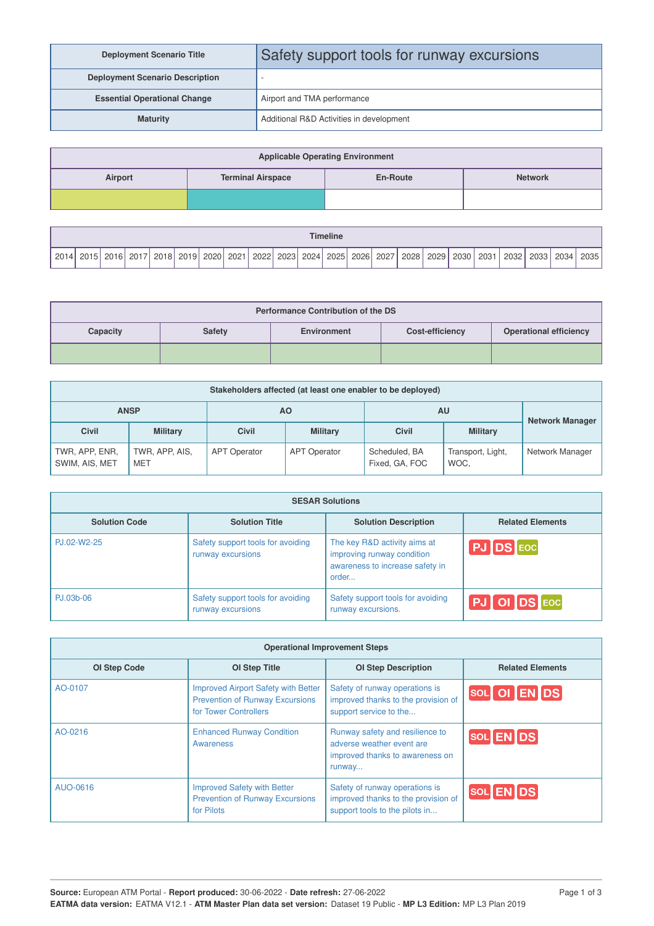| <b>Deployment Scenario Title</b>       | Safety support tools for runway excursions |
|----------------------------------------|--------------------------------------------|
| <b>Deployment Scenario Description</b> |                                            |
| <b>Essential Operational Change</b>    | Airport and TMA performance                |
| <b>Maturity</b>                        | Additional R&D Activities in development   |

| <b>Applicable Operating Environment</b> |                          |                 |                |  |  |  |  |
|-----------------------------------------|--------------------------|-----------------|----------------|--|--|--|--|
| Airport                                 | <b>Terminal Airspace</b> | <b>En-Route</b> | <b>Network</b> |  |  |  |  |
|                                         |                          |                 |                |  |  |  |  |

| <b>Timeline</b> |               |  |  |  |                    |  |           |  |           |  |            |  |           |  |           |      |      |      |      |      |      |
|-----------------|---------------|--|--|--|--------------------|--|-----------|--|-----------|--|------------|--|-----------|--|-----------|------|------|------|------|------|------|
| 2014            | i 2015   2016 |  |  |  | 2017   2018   2019 |  | 2020 2021 |  | 2022 2023 |  | 2024  2025 |  | 2026 2027 |  | 2028 2029 | 2030 | 2031 | 2032 | 2033 | 2034 | 2035 |

| <b>Performance Contribution of the DS</b> |               |             |                        |                               |  |  |  |
|-------------------------------------------|---------------|-------------|------------------------|-------------------------------|--|--|--|
| Capacity                                  | <b>Safety</b> | Environment | <b>Cost-efficiency</b> | <b>Operational efficiency</b> |  |  |  |
|                                           |               |             |                        |                               |  |  |  |

| Stakeholders affected (at least one enabler to be deployed) |                              |                     |                     |                                 |                           |                 |  |  |  |
|-------------------------------------------------------------|------------------------------|---------------------|---------------------|---------------------------------|---------------------------|-----------------|--|--|--|
|                                                             | <b>ANSP</b>                  |                     | <b>AO</b>           | AU                              | <b>Network Manager</b>    |                 |  |  |  |
| <b>Civil</b>                                                | <b>Military</b>              | <b>Civil</b>        | <b>Military</b>     | <b>Civil</b>                    | <b>Military</b>           |                 |  |  |  |
| TWR, APP, ENR,<br>SWIM, AIS, MET                            | TWR, APP, AIS,<br><b>MET</b> | <b>APT Operator</b> | <b>APT Operator</b> | Scheduled, BA<br>Fixed, GA, FOC | Transport, Light,<br>WOC. | Network Manager |  |  |  |

| <b>SESAR Solutions</b> |                                                        |                                                                                                        |                         |  |  |  |  |  |
|------------------------|--------------------------------------------------------|--------------------------------------------------------------------------------------------------------|-------------------------|--|--|--|--|--|
| <b>Solution Code</b>   | <b>Solution Title</b>                                  | <b>Solution Description</b>                                                                            | <b>Related Elements</b> |  |  |  |  |  |
| PJ.02-W2-25            | Safety support tools for avoiding<br>runway excursions | The key R&D activity aims at<br>improving runway condition<br>awareness to increase safety in<br>order | PJ DS EOC               |  |  |  |  |  |
| PJ.03b-06              | Safety support tools for avoiding<br>runway excursions | Safety support tools for avoiding<br>runway excursions.                                                | PJ OI DS EOC            |  |  |  |  |  |

| <b>Operational Improvement Steps</b> |                                                                                                               |                                                                                                           |                                                                                                                  |  |  |  |  |  |
|--------------------------------------|---------------------------------------------------------------------------------------------------------------|-----------------------------------------------------------------------------------------------------------|------------------------------------------------------------------------------------------------------------------|--|--|--|--|--|
| <b>OI Step Code</b>                  | <b>OI Step Title</b>                                                                                          | <b>OI Step Description</b>                                                                                | <b>Related Elements</b>                                                                                          |  |  |  |  |  |
| AO-0107                              | <b>Improved Airport Safety with Better</b><br><b>Prevention of Runway Excursions</b><br>for Tower Controllers | Safety of runway operations is<br>improved thanks to the provision of<br>support service to the           | $\left[\begin{matrix} \text{SOL} \end{matrix}\right]$ OI $\left[\begin{matrix} \text{EN} \end{matrix}\right]$ DS |  |  |  |  |  |
| AO-0216                              | <b>Enhanced Runway Condition</b><br>Awareness                                                                 | Runway safety and resilience to<br>adverse weather event are<br>improved thanks to awareness on<br>runway | $\left[\text{SOL}\right]\text{EN}\right]\text{DS}$                                                               |  |  |  |  |  |
| AUO-0616                             | Improved Safety with Better<br><b>Prevention of Runway Excursions</b><br>for Pilots                           | Safety of runway operations is<br>improved thanks to the provision of<br>support tools to the pilots in   | SOL EN DS                                                                                                        |  |  |  |  |  |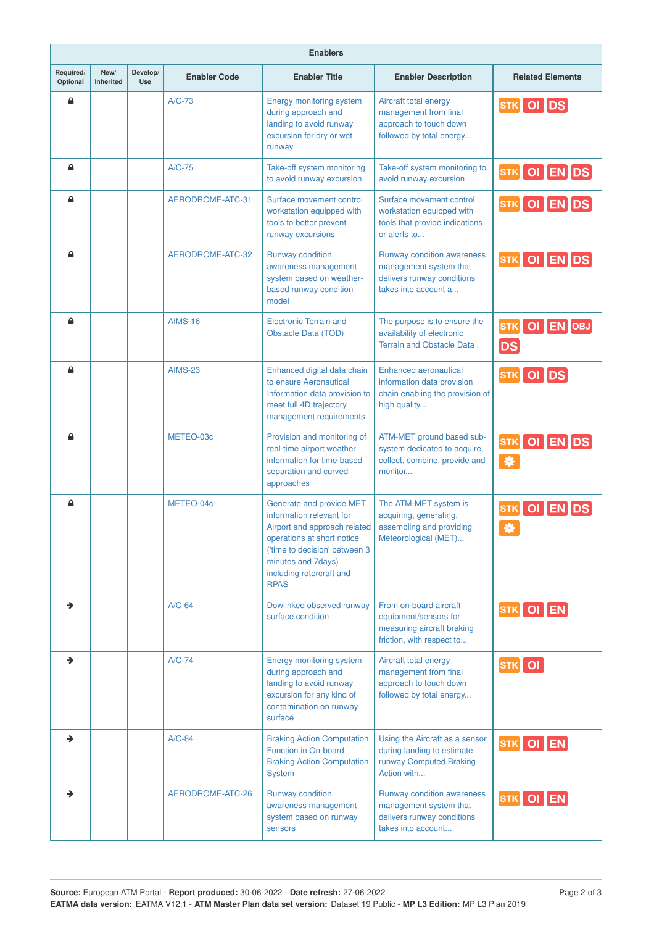|                       | <b>Enablers</b>   |                 |                     |                                                                                                                                                                                                                      |                                                                                                               |                                                                                                              |  |  |  |  |  |
|-----------------------|-------------------|-----------------|---------------------|----------------------------------------------------------------------------------------------------------------------------------------------------------------------------------------------------------------------|---------------------------------------------------------------------------------------------------------------|--------------------------------------------------------------------------------------------------------------|--|--|--|--|--|
| Required/<br>Optional | New/<br>Inherited | Develop/<br>Use | <b>Enabler Code</b> | <b>Enabler Title</b>                                                                                                                                                                                                 | <b>Enabler Description</b>                                                                                    | <b>Related Elements</b>                                                                                      |  |  |  |  |  |
| €                     |                   |                 | $A/C-73$            | Energy monitoring system<br>during approach and<br>landing to avoid runway<br>excursion for dry or wet<br>runway                                                                                                     | Aircraft total energy<br>management from final<br>approach to touch down<br>followed by total energy          | STK OI DS                                                                                                    |  |  |  |  |  |
| €                     |                   |                 | $A/C-75$            | Take-off system monitoring<br>to avoid runway excursion                                                                                                                                                              | Take-off system monitoring to<br>avoid runway excursion                                                       | STK OI EN DS                                                                                                 |  |  |  |  |  |
| $\triangle$           |                   |                 | AERODROME-ATC-31    | Surface movement control<br>workstation equipped with<br>tools to better prevent<br>runway excursions                                                                                                                | Surface movement control<br>workstation equipped with<br>tools that provide indications<br>or alerts to       | STK OI EN DS                                                                                                 |  |  |  |  |  |
| ≙                     |                   |                 | AERODROME-ATC-32    | Runway condition<br>awareness management<br>system based on weather-<br>based runway condition<br>model                                                                                                              | Runway condition awareness<br>management system that<br>delivers runway conditions<br>takes into account a    | STK OI EN DS                                                                                                 |  |  |  |  |  |
| ≙                     |                   |                 | <b>AIMS-16</b>      | <b>Electronic Terrain and</b><br>Obstacle Data (TOD)                                                                                                                                                                 | The purpose is to ensure the<br>availability of electronic<br>Terrain and Obstacle Data.                      | $\begin{bmatrix} \texttt{STK} \end{bmatrix}$ OI $\begin{bmatrix} \texttt{EN} \end{bmatrix}$ OBJ<br><b>DS</b> |  |  |  |  |  |
| ≙                     |                   |                 | <b>AIMS-23</b>      | Enhanced digital data chain<br>to ensure Aeronautical<br>Information data provision to<br>meet full 4D trajectory<br>management requirements                                                                         | <b>Enhanced aeronautical</b><br>information data provision<br>chain enabling the provision of<br>high quality | STK OI DS                                                                                                    |  |  |  |  |  |
| ≙                     |                   |                 | METEO-03c           | Provision and monitoring of<br>real-time airport weather<br>information for time-based<br>separation and curved<br>approaches                                                                                        | ATM-MET ground based sub-<br>system dedicated to acquire,<br>collect, combine, provide and<br>monitor         | STK OI EN DS<br>  ₩                                                                                          |  |  |  |  |  |
| $\triangle$           |                   |                 | METEO-04c           | Generate and provide MET<br>information relevant for<br>Airport and approach related<br>operations at short notice<br>('time to decision' between 3<br>minutes and 7days)<br>including rotorcraft and<br><b>RPAS</b> | The ATM-MET system is<br>acquiring, generating,<br>assembling and providing<br>Meteorological (MET)           | OI ENDS<br>STK<br>券                                                                                          |  |  |  |  |  |
|                       |                   |                 | $A/C-64$            | Dowlinked observed runway<br>surface condition                                                                                                                                                                       | From on-board aircraft<br>equipment/sensors for<br>measuring aircraft braking<br>friction, with respect to    | STK OI EN                                                                                                    |  |  |  |  |  |
| →                     |                   |                 | $A/C-74$            | Energy monitoring system<br>during approach and<br>landing to avoid runway<br>excursion for any kind of<br>contamination on runway<br>surface                                                                        | Aircraft total energy<br>management from final<br>approach to touch down<br>followed by total energy          | $\boxed{\textsf{STK}}$ OI                                                                                    |  |  |  |  |  |
|                       |                   |                 | $A/C-84$            | <b>Braking Action Computation</b><br>Function in On-board<br><b>Braking Action Computation</b><br>System                                                                                                             | Using the Aircraft as a sensor<br>during landing to estimate<br>runway Computed Braking<br>Action with        | $\left[\mathsf{s}\mathsf{T}\mathsf{K}\right]$ OI $\left[\mathsf{EN}\right]$                                  |  |  |  |  |  |
| →                     |                   |                 | AERODROME-ATC-26    | Runway condition<br>awareness management<br>system based on runway<br>sensors                                                                                                                                        | Runway condition awareness<br>management system that<br>delivers runway conditions<br>takes into account      | $\overline{\text{srk}}$ OI $\overline{\text{EN}}$                                                            |  |  |  |  |  |